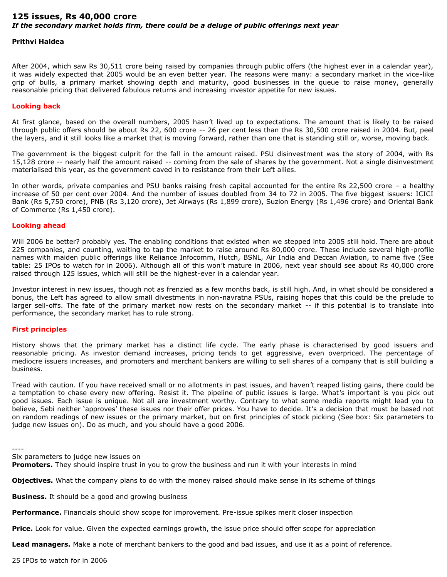# **125 issues, Rs 40,000 crore** *If the secondary market holds firm, there could be a deluge of public offerings next year*

# **Prithvi Haldea**

After 2004, which saw Rs 30,511 crore being raised by companies through public offers (the highest ever in a calendar year), it was widely expected that 2005 would be an even better year. The reasons were many: a secondary market in the vice-like grip of bulls, a primary market showing depth and maturity, good businesses in the queue to raise money, generally reasonable pricing that delivered fabulous returns and increasing investor appetite for new issues.

## **Looking back**

At first glance, based on the overall numbers, 2005 hasn't lived up to expectations. The amount that is likely to be raised through public offers should be about Rs 22, 600 crore -- 26 per cent less than the Rs 30,500 crore raised in 2004. But, peel the layers, and it still looks like a market that is moving forward, rather than one that is standing still or, worse, moving back.

The government is the biggest culprit for the fall in the amount raised. PSU disinvestment was the story of 2004, with Rs 15,128 crore -- nearly half the amount raised -- coming from the sale of shares by the government. Not a single disinvestment materialised this year, as the government caved in to resistance from their Left allies.

In other words, private companies and PSU banks raising fresh capital accounted for the entire Rs 22,500 crore – a healthy increase of 50 per cent over 2004. And the number of issues doubled from 34 to 72 in 2005. The five biggest issuers: ICICI Bank (Rs 5,750 crore), PNB (Rs 3,120 crore), Jet Airways (Rs 1,899 crore), Suzlon Energy (Rs 1,496 crore) and Oriental Bank of Commerce (Rs 1,450 crore).

#### **Looking ahead**

Will 2006 be better? probably yes. The enabling conditions that existed when we stepped into 2005 still hold. There are about 225 companies, and counting, waiting to tap the market to raise around Rs 80,000 crore. These include several high-profile names with maiden public offerings like Reliance Infocomm, Hutch, BSNL, Air India and Deccan Aviation, to name five (See table: 25 IPOs to watch for in 2006). Although all of this won't mature in 2006, next year should see about Rs 40,000 crore raised through 125 issues, which will still be the highest-ever in a calendar year.

Investor interest in new issues, though not as frenzied as a few months back, is still high. And, in what should be considered a bonus, the Left has agreed to allow small divestments in non-navratna PSUs, raising hopes that this could be the prelude to larger sell-offs. The fate of the primary market now rests on the secondary market -- if this potential is to translate into performance, the secondary market has to rule strong.

## **First principles**

History shows that the primary market has a distinct life cycle. The early phase is characterised by good issuers and reasonable pricing. As investor demand increases, pricing tends to get aggressive, even overpriced. The percentage of mediocre issuers increases, and promoters and merchant bankers are willing to sell shares of a company that is still building a business.

Tread with caution. If you have received small or no allotments in past issues, and haven't reaped listing gains, there could be a temptation to chase every new offering. Resist it. The pipeline of public issues is large. What's important is you pick out good issues. Each issue is unique. Not all are investment worthy. Contrary to what some media reports might lead you to believe, Sebi neither 'approves' these issues nor their offer prices. You have to decide. It's a decision that must be based not on random readings of new issues or the primary market, but on first principles of stock picking (See box: Six parameters to judge new issues on). Do as much, and you should have a good 2006.

----

Six parameters to judge new issues on

**Promoters.** They should inspire trust in you to grow the business and run it with your interests in mind

**Objectives.** What the company plans to do with the money raised should make sense in its scheme of things

**Business.** It should be a good and growing business

**Performance.** Financials should show scope for improvement. Pre-issue spikes merit closer inspection

**Price.** Look for value. Given the expected earnings growth, the issue price should offer scope for appreciation

**Lead managers.** Make a note of merchant bankers to the good and bad issues, and use it as a point of reference.

25 IPOs to watch for in 2006